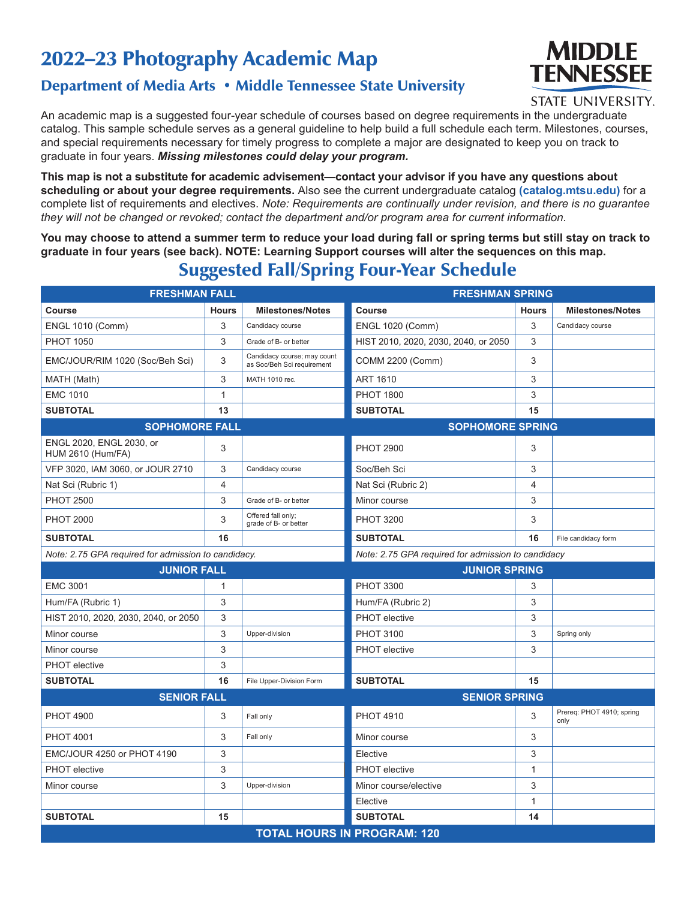### 2022–23 Photography Academic Map

### Department of Media Arts • Middle Tennessee State University

# **MIDDLE TENNESSEE**

#### **STATE UNIVERSITY.**

An academic map is a suggested four-year schedule of courses based on degree requirements in the undergraduate catalog. This sample schedule serves as a general guideline to help build a full schedule each term. Milestones, courses, and special requirements necessary for timely progress to complete a major are designated to keep you on track to graduate in four years. *Missing milestones could delay your program.*

**This map is not a substitute for academic advisement—contact your advisor if you have any questions about scheduling or about your degree requirements.** Also see the current undergraduate catalog **(catalog.mtsu.edu)** for a complete list of requirements and electives. *Note: Requirements are continually under revision, and there is no guarantee they will not be changed or revoked; contact the department and/or program area for current information.*

**You may choose to attend a summer term to reduce your load during fall or spring terms but still stay on track to graduate in four years (see back). NOTE: Learning Support courses will alter the sequences on this map.**

### Suggested Fall/Spring Four-Year Schedule

| <b>FRESHMAN FALL</b>                                 |                |                                                           | <b>FRESHMAN SPRING</b>               |              |                                   |  |
|------------------------------------------------------|----------------|-----------------------------------------------------------|--------------------------------------|--------------|-----------------------------------|--|
| <b>Course</b>                                        | <b>Hours</b>   | <b>Milestones/Notes</b>                                   | Course                               | <b>Hours</b> | <b>Milestones/Notes</b>           |  |
| <b>ENGL 1010 (Comm)</b>                              | 3              | Candidacy course                                          | <b>ENGL 1020 (Comm)</b>              | 3            | Candidacy course                  |  |
| <b>PHOT 1050</b>                                     | $\mathfrak{B}$ | Grade of B- or better                                     | HIST 2010, 2020, 2030, 2040, or 2050 | 3            |                                   |  |
| EMC/JOUR/RIM 1020 (Soc/Beh Sci)                      | 3              | Candidacy course; may count<br>as Soc/Beh Sci requirement | <b>COMM 2200 (Comm)</b>              | 3            |                                   |  |
| MATH (Math)                                          | 3              | MATH 1010 rec.                                            | <b>ART 1610</b>                      | 3            |                                   |  |
| <b>EMC 1010</b>                                      | $\mathbf{1}$   |                                                           | <b>PHOT 1800</b>                     | 3            |                                   |  |
| <b>SUBTOTAL</b>                                      | 13             |                                                           | <b>SUBTOTAL</b>                      | 15           |                                   |  |
| <b>SOPHOMORE FALL</b>                                |                | <b>SOPHOMORE SPRING</b>                                   |                                      |              |                                   |  |
| ENGL 2020, ENGL 2030, or<br><b>HUM 2610 (Hum/FA)</b> | 3              |                                                           | <b>PHOT 2900</b>                     | 3            |                                   |  |
| VFP 3020, IAM 3060, or JOUR 2710                     | 3              | Candidacy course                                          | Soc/Beh Sci                          | 3            |                                   |  |
| Nat Sci (Rubric 1)                                   | $\overline{4}$ |                                                           | Nat Sci (Rubric 2)                   | 4            |                                   |  |
| <b>PHOT 2500</b>                                     | 3              | Grade of B- or better                                     | Minor course                         | 3            |                                   |  |
| <b>PHOT 2000</b>                                     | 3              | Offered fall only;<br>grade of B- or better               | <b>PHOT 3200</b>                     | 3            |                                   |  |
| <b>SUBTOTAL</b>                                      | 16             |                                                           | <b>SUBTOTAL</b>                      | 16           | File candidacy form               |  |
| Note: 2.75 GPA required for admission to candidacy.  |                | Note: 2.75 GPA required for admission to candidacy        |                                      |              |                                   |  |
| <b>JUNIOR FALL</b>                                   |                |                                                           | <b>JUNIOR SPRING</b>                 |              |                                   |  |
|                                                      |                |                                                           |                                      |              |                                   |  |
| <b>EMC 3001</b>                                      | $\mathbf{1}$   |                                                           | <b>PHOT 3300</b>                     | 3            |                                   |  |
| Hum/FA (Rubric 1)                                    | 3              |                                                           | Hum/FA (Rubric 2)                    | 3            |                                   |  |
| HIST 2010, 2020, 2030, 2040, or 2050                 | 3              |                                                           | <b>PHOT</b> elective                 | 3            |                                   |  |
| Minor course                                         | 3              | Upper-division                                            | <b>PHOT 3100</b>                     | 3            | Spring only                       |  |
| Minor course                                         | 3              |                                                           | <b>PHOT</b> elective                 | 3            |                                   |  |
| <b>PHOT</b> elective                                 | 3              |                                                           |                                      |              |                                   |  |
| <b>SUBTOTAL</b>                                      | 16             | File Upper-Division Form                                  | <b>SUBTOTAL</b>                      | 15           |                                   |  |
| <b>SENIOR FALL</b>                                   |                |                                                           | <b>SENIOR SPRING</b>                 |              |                                   |  |
| <b>PHOT 4900</b>                                     | 3              | Fall only                                                 | <b>PHOT 4910</b>                     | 3            | Prereq: PHOT 4910; spring<br>only |  |
| <b>PHOT 4001</b>                                     | 3              | Fall only                                                 | Minor course                         | 3            |                                   |  |
| <b>EMC/JOUR 4250 or PHOT 4190</b>                    | 3              |                                                           | Elective                             | 3            |                                   |  |
| <b>PHOT</b> elective                                 | 3              |                                                           | <b>PHOT</b> elective                 | 1            |                                   |  |
| Minor course                                         | 3              | Upper-division                                            | Minor course/elective                | 3            |                                   |  |
|                                                      |                |                                                           | Elective                             | 1            |                                   |  |
| <b>SUBTOTAL</b>                                      | 15             |                                                           | <b>SUBTOTAL</b>                      | 14           |                                   |  |